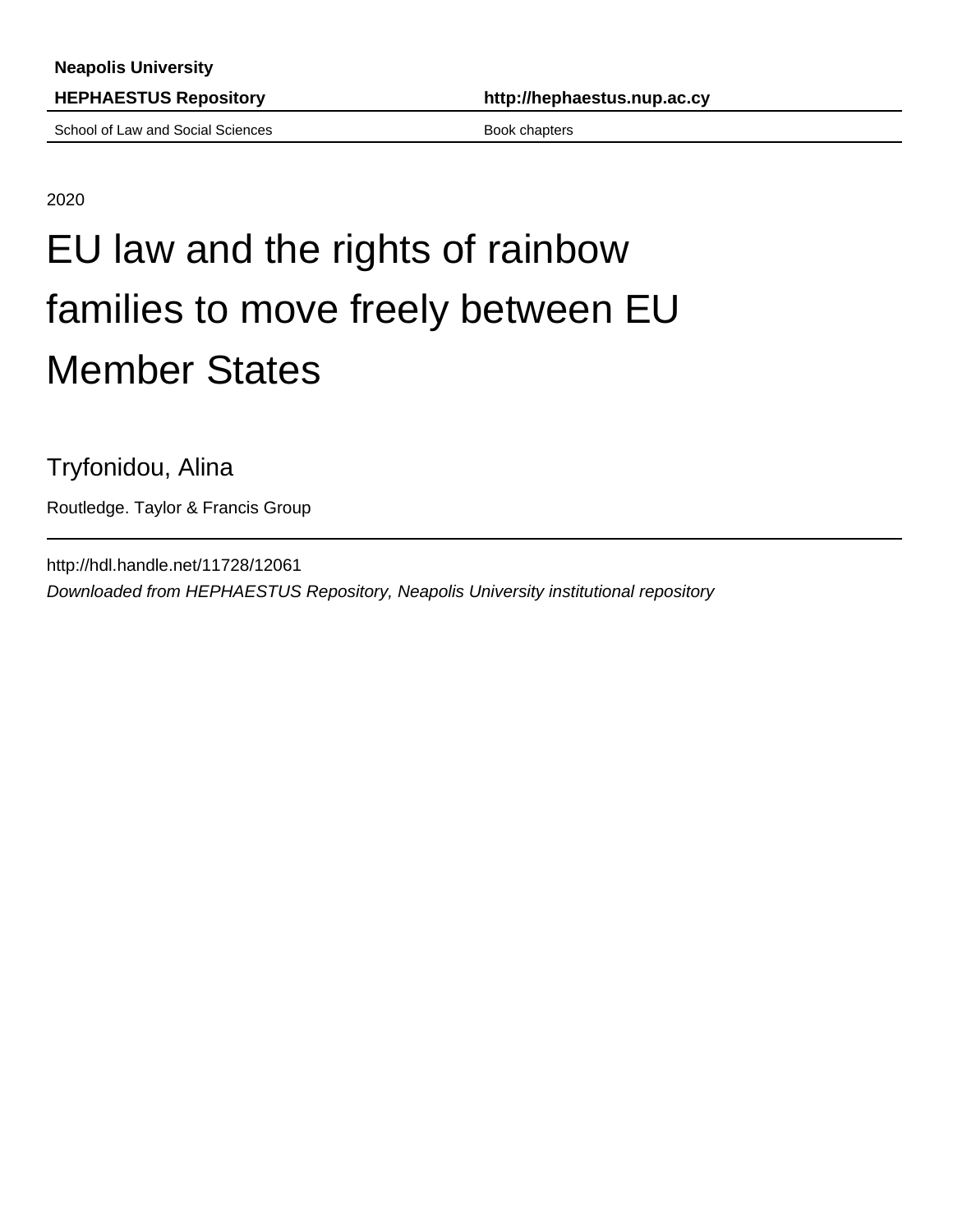School of Law and Social Sciences Book chapters Book chapters

2020

## EU law and the rights of rainbow families to move freely between EU Member States

Tryfonidou, Alina

Routledge. Taylor & Francis Group

http://hdl.handle.net/11728/12061 Downloaded from HEPHAESTUS Repository, Neapolis University institutional repository